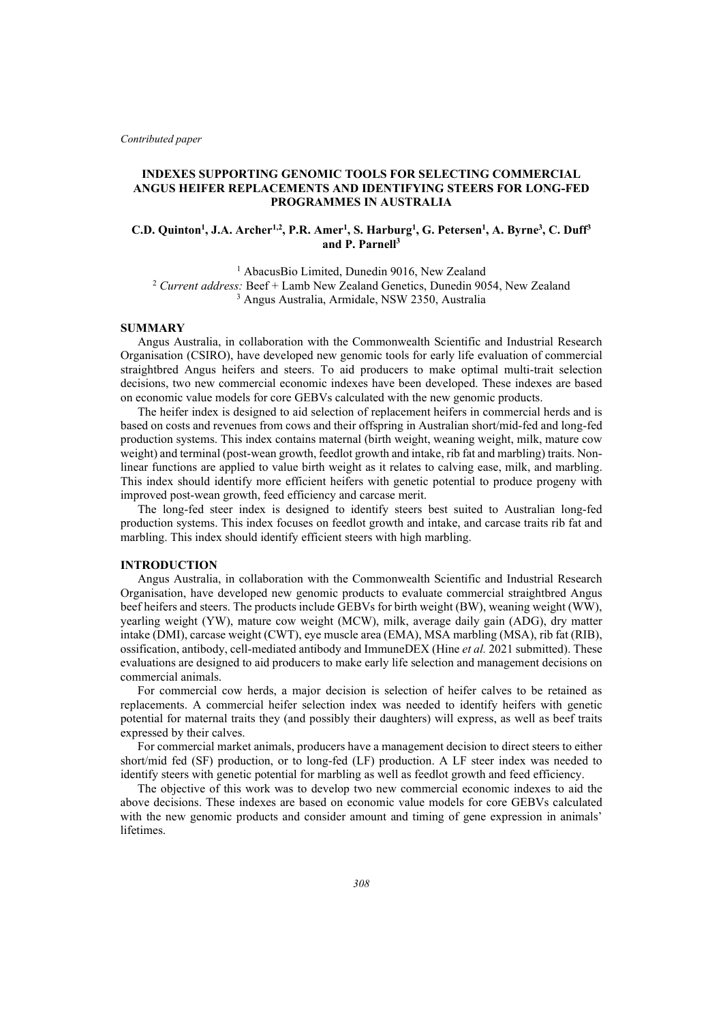*Contributed paper*

## **INDEXES SUPPORTING GENOMIC TOOLS FOR SELECTING COMMERCIAL ANGUS HEIFER REPLACEMENTS AND IDENTIFYING STEERS FOR LONG-FED PROGRAMMES IN AUSTRALIA**

# **C.D. Quinton<sup>1</sup>, J.A. Archer<sup>1,2</sup>, P.R. Amer<sup>1</sup>, S. Harburg<sup>1</sup>, G. Petersen<sup>1</sup>, A. Byrne<sup>3</sup>, C. Duff<sup>3</sup> and P. Parnell3**

<sup>1</sup> AbacusBio Limited, Dunedin 9016, New Zealand <sup>2</sup> Current address: Beef + Lamb New Zealand Genetics, Dunedin 9054, New Zealand <sup>3</sup> Angus Australia, Armidale, NSW 2350, Australia

### **SUMMARY**

Angus Australia, in collaboration with the Commonwealth Scientific and Industrial Research Organisation (CSIRO), have developed new genomic tools for early life evaluation of commercial straightbred Angus heifers and steers. To aid producers to make optimal multi-trait selection decisions, two new commercial economic indexes have been developed. These indexes are based on economic value models for core GEBVs calculated with the new genomic products.

The heifer index is designed to aid selection of replacement heifers in commercial herds and is based on costs and revenues from cows and their offspring in Australian short/mid-fed and long-fed production systems. This index contains maternal (birth weight, weaning weight, milk, mature cow weight) and terminal (post-wean growth, feedlot growth and intake, rib fat and marbling) traits. Nonlinear functions are applied to value birth weight as it relates to calving ease, milk, and marbling. This index should identify more efficient heifers with genetic potential to produce progeny with improved post-wean growth, feed efficiency and carcase merit.

The long-fed steer index is designed to identify steers best suited to Australian long-fed production systems. This index focuses on feedlot growth and intake, and carcase traits rib fat and marbling. This index should identify efficient steers with high marbling.

## **INTRODUCTION**

Angus Australia, in collaboration with the Commonwealth Scientific and Industrial Research Organisation, have developed new genomic products to evaluate commercial straightbred Angus beef heifers and steers. The products include GEBVs for birth weight (BW), weaning weight (WW), yearling weight (YW), mature cow weight (MCW), milk, average daily gain (ADG), dry matter intake (DMI), carcase weight (CWT), eye muscle area (EMA), MSA marbling (MSA), rib fat (RIB), ossification, antibody, cell-mediated antibody and ImmuneDEX (Hine *et al.* 2021 submitted). These evaluations are designed to aid producers to make early life selection and management decisions on commercial animals.

For commercial cow herds, a major decision is selection of heifer calves to be retained as replacements. A commercial heifer selection index was needed to identify heifers with genetic potential for maternal traits they (and possibly their daughters) will express, as well as beef traits expressed by their calves.

For commercial market animals, producers have a management decision to direct steers to either short/mid fed (SF) production, or to long-fed (LF) production. A LF steer index was needed to identify steers with genetic potential for marbling as well as feedlot growth and feed efficiency.

The objective of this work was to develop two new commercial economic indexes to aid the above decisions. These indexes are based on economic value models for core GEBVs calculated with the new genomic products and consider amount and timing of gene expression in animals' lifetimes.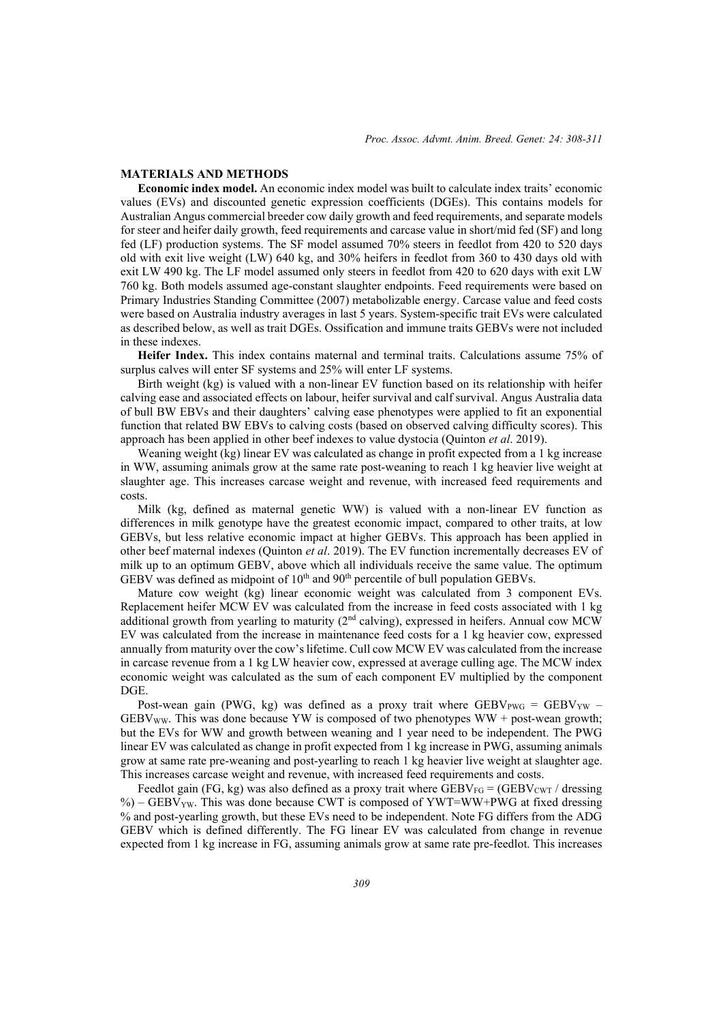### **MATERIALS AND METHODS**

**Economic index model.** An economic index model was built to calculate index traits' economic values (EVs) and discounted genetic expression coefficients (DGEs). This contains models for Australian Angus commercial breeder cow daily growth and feed requirements, and separate models for steer and heifer daily growth, feed requirements and carcase value in short/mid fed (SF) and long fed (LF) production systems. The SF model assumed 70% steers in feedlot from 420 to 520 days old with exit live weight (LW) 640 kg, and 30% heifers in feedlot from 360 to 430 days old with exit LW 490 kg. The LF model assumed only steers in feedlot from 420 to 620 days with exit LW 760 kg. Both models assumed age-constant slaughter endpoints. Feed requirements were based on Primary Industries Standing Committee (2007) metabolizable energy. Carcase value and feed costs were based on Australia industry averages in last 5 years. System-specific trait EVs were calculated as described below, as well as trait DGEs. Ossification and immune traits GEBVs were not included in these indexes.

**Heifer Index.** This index contains maternal and terminal traits. Calculations assume 75% of surplus calves will enter SF systems and 25% will enter LF systems.

Birth weight (kg) is valued with a non-linear EV function based on its relationship with heifer calving ease and associated effects on labour, heifer survival and calf survival. Angus Australia data of bull BW EBVs and their daughters' calving ease phenotypes were applied to fit an exponential function that related BW EBVs to calving costs (based on observed calving difficulty scores). This approach has been applied in other beef indexes to value dystocia (Quinton *et al*. 2019).

Weaning weight (kg) linear EV was calculated as change in profit expected from a 1 kg increase in WW, assuming animals grow at the same rate post-weaning to reach 1 kg heavier live weight at slaughter age. This increases carcase weight and revenue, with increased feed requirements and costs.

Milk (kg, defined as maternal genetic WW) is valued with a non-linear EV function as differences in milk genotype have the greatest economic impact, compared to other traits, at low GEBVs, but less relative economic impact at higher GEBVs. This approach has been applied in other beef maternal indexes (Quinton *et al*. 2019). The EV function incrementally decreases EV of milk up to an optimum GEBV, above which all individuals receive the same value. The optimum GEBV was defined as midpoint of 10<sup>th</sup> and 90<sup>th</sup> percentile of bull population GEBVs.

Mature cow weight (kg) linear economic weight was calculated from 3 component EVs. Replacement heifer MCW EV was calculated from the increase in feed costs associated with 1 kg additional growth from yearling to maturity (2<sup>nd</sup> calving), expressed in heifers. Annual cow MCW EV was calculated from the increase in maintenance feed costs for a 1 kg heavier cow, expressed annually from maturity over the cow's lifetime. Cull cow MCW EV was calculated from the increase in carcase revenue from a 1 kg LW heavier cow, expressed at average culling age. The MCW index economic weight was calculated as the sum of each component EV multiplied by the component DGE.

Post-wean gain (PWG, kg) was defined as a proxy trait where  $GEBV_{PWG} = GEBV_{YW}$  $GEBV_{WW}$ . This was done because YW is composed of two phenotypes WW + post-wean growth; but the EVs for WW and growth between weaning and 1 year need to be independent. The PWG linear EV was calculated as change in profit expected from 1 kg increase in PWG, assuming animals grow at same rate pre-weaning and post-yearling to reach 1 kg heavier live weight at slaughter age. This increases carcase weight and revenue, with increased feed requirements and costs.

Feedlot gain (FG, kg) was also defined as a proxy trait where  $GEBV_{FG} = (GEBV_{CWT}/d_{\text{ressing}})$ %) – GEBV<sub>YW</sub>. This was done because CWT is composed of YWT=WW+PWG at fixed dressing % and post-yearling growth, but these EVs need to be independent. Note FG differs from the ADG GEBV which is defined differently. The FG linear EV was calculated from change in revenue expected from 1 kg increase in FG, assuming animals grow at same rate pre-feedlot. This increases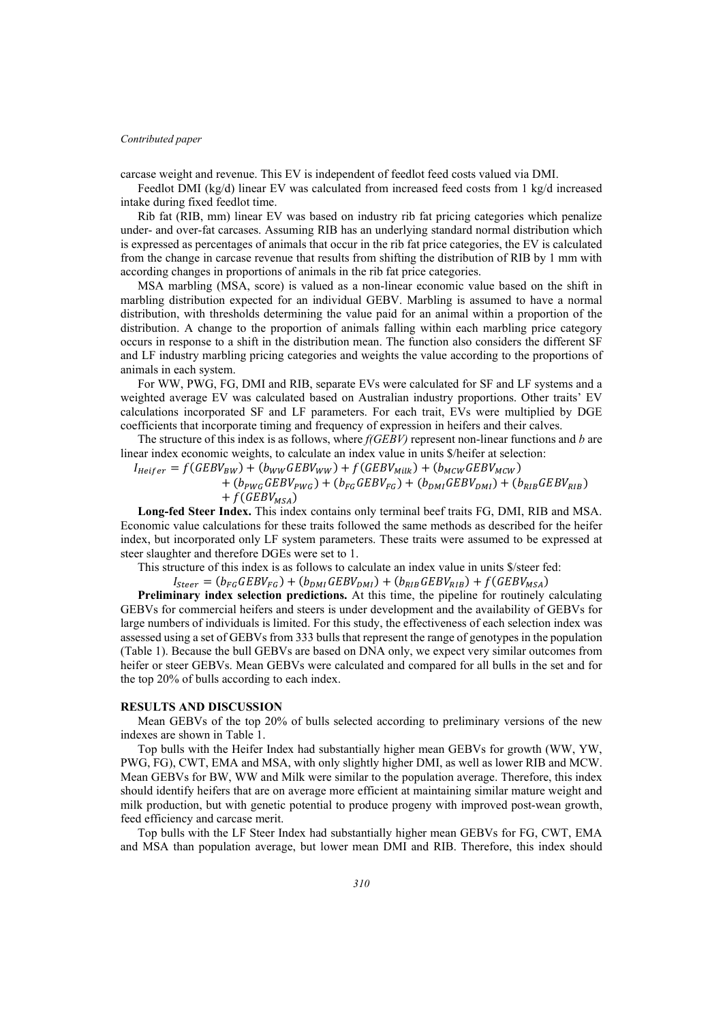### *Contributed paper*

carcase weight and revenue. This EV is independent of feedlot feed costs valued via DMI.

Feedlot DMI (kg/d) linear EV was calculated from increased feed costs from 1 kg/d increased intake during fixed feedlot time.

Rib fat (RIB, mm) linear EV was based on industry rib fat pricing categories which penalize under- and over-fat carcases. Assuming RIB has an underlying standard normal distribution which is expressed as percentages of animals that occur in the rib fat price categories, the EV is calculated from the change in carcase revenue that results from shifting the distribution of RIB by 1 mm with according changes in proportions of animals in the rib fat price categories.

MSA marbling (MSA, score) is valued as a non-linear economic value based on the shift in marbling distribution expected for an individual GEBV. Marbling is assumed to have a normal distribution, with thresholds determining the value paid for an animal within a proportion of the distribution. A change to the proportion of animals falling within each marbling price category occurs in response to a shift in the distribution mean. The function also considers the different SF and LF industry marbling pricing categories and weights the value according to the proportions of animals in each system.

For WW, PWG, FG, DMI and RIB, separate EVs were calculated for SF and LF systems and a weighted average EV was calculated based on Australian industry proportions. Other traits' EV calculations incorporated SF and LF parameters. For each trait, EVs were multiplied by DGE coefficients that incorporate timing and frequency of expression in heifers and their calves.

The structure of this index is as follows, where *f(GEBV)* represent non-linear functions and *b* are linear index economic weights, to calculate an index value in units \$/heifer at selection:

 $I_{Heifer} = f(GEBV_{BW}) + (b_{WW} GEBV_{WW}) + f(GEBV_{Milk}) + (b_{MCW} GEBV_{MCW})$ +  $(b_{PWG} GEBV_{PWG}) + (b_{FG} GEBV_{FG}) + (b_{DMI} GEBV_{DMI}) + (b_{RIB} GEBV_{RIB})$ +  $f(GEBV_{MSA})$ 

**Long-fed Steer Index.** This index contains only terminal beef traits FG, DMI, RIB and MSA. Economic value calculations for these traits followed the same methods as described for the heifer index, but incorporated only LF system parameters. These traits were assumed to be expressed at steer slaughter and therefore DGEs were set to 1.

This structure of this index is as follows to calculate an index value in units \$/steer fed:

 $I_{steer} = (b_{FG} GEBV_{FG}) + (b_{DMI} GEBV_{DMI}) + (b_{RIB} GEBV_{RIB}) + f(GEBV_{MSA})$ 

**Preliminary index selection predictions.** At this time, the pipeline for routinely calculating GEBVs for commercial heifers and steers is under development and the availability of GEBVs for large numbers of individuals is limited. For this study, the effectiveness of each selection index was assessed using a set of GEBVs from 333 bulls that represent the range of genotypes in the population (Table 1). Because the bull GEBVs are based on DNA only, we expect very similar outcomes from heifer or steer GEBVs. Mean GEBVs were calculated and compared for all bulls in the set and for the top 20% of bulls according to each index.

# **RESULTS AND DISCUSSION**

Mean GEBVs of the top 20% of bulls selected according to preliminary versions of the new indexes are shown in Table 1.

Top bulls with the Heifer Index had substantially higher mean GEBVs for growth (WW, YW, PWG, FG), CWT, EMA and MSA, with only slightly higher DMI, as well as lower RIB and MCW. Mean GEBVs for BW, WW and Milk were similar to the population average. Therefore, this index should identify heifers that are on average more efficient at maintaining similar mature weight and milk production, but with genetic potential to produce progeny with improved post-wean growth, feed efficiency and carcase merit.

Top bulls with the LF Steer Index had substantially higher mean GEBVs for FG, CWT, EMA and MSA than population average, but lower mean DMI and RIB. Therefore, this index should